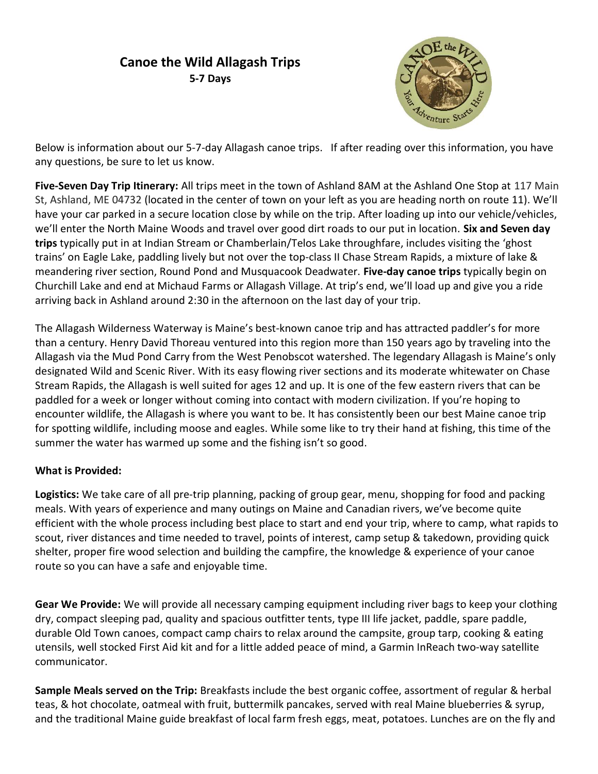## Canoe the Wild Allagash Trips 5-7 Days



Below is information about our 5-7-day Allagash canoe trips. If after reading over this information, you have any questions, be sure to let us know.

Five-Seven Day Trip Itinerary: All trips meet in the town of Ashland 8AM at the Ashland One Stop at 117 Main St, Ashland, ME 04732 (located in the center of town on your left as you are heading north on route 11). We'll have your car parked in a secure location close by while on the trip. After loading up into our vehicle/vehicles, we'll enter the North Maine Woods and travel over good dirt roads to our put in location. Six and Seven day trips typically put in at Indian Stream or Chamberlain/Telos Lake throughfare, includes visiting the 'ghost trains' on Eagle Lake, paddling lively but not over the top-class II Chase Stream Rapids, a mixture of lake & meandering river section, Round Pond and Musquacook Deadwater. Five-day canoe trips typically begin on Churchill Lake and end at Michaud Farms or Allagash Village. At trip's end, we'll load up and give you a ride arriving back in Ashland around 2:30 in the afternoon on the last day of your trip.

The Allagash Wilderness Waterway is Maine's best-known canoe trip and has attracted paddler's for more than a century. Henry David Thoreau ventured into this region more than 150 years ago by traveling into the Allagash via the Mud Pond Carry from the West Penobscot watershed. The legendary Allagash is Maine's only designated Wild and Scenic River. With its easy flowing river sections and its moderate whitewater on Chase Stream Rapids, the Allagash is well suited for ages 12 and up. It is one of the few eastern rivers that can be paddled for a week or longer without coming into contact with modern civilization. If you're hoping to encounter wildlife, the Allagash is where you want to be. It has consistently been our best Maine canoe trip for spotting wildlife, including moose and eagles. While some like to try their hand at fishing, this time of the summer the water has warmed up some and the fishing isn't so good.

## What is Provided:

Logistics: We take care of all pre-trip planning, packing of group gear, menu, shopping for food and packing meals. With years of experience and many outings on Maine and Canadian rivers, we've become quite efficient with the whole process including best place to start and end your trip, where to camp, what rapids to scout, river distances and time needed to travel, points of interest, camp setup & takedown, providing quick shelter, proper fire wood selection and building the campfire, the knowledge & experience of your canoe route so you can have a safe and enjoyable time.

Gear We Provide: We will provide all necessary camping equipment including river bags to keep your clothing dry, compact sleeping pad, quality and spacious outfitter tents, type III life jacket, paddle, spare paddle, durable Old Town canoes, compact camp chairs to relax around the campsite, group tarp, cooking & eating utensils, well stocked First Aid kit and for a little added peace of mind, a Garmin InReach two-way satellite communicator.

Sample Meals served on the Trip: Breakfasts include the best organic coffee, assortment of regular & herbal teas, & hot chocolate, oatmeal with fruit, buttermilk pancakes, served with real Maine blueberries & syrup, and the traditional Maine guide breakfast of local farm fresh eggs, meat, potatoes. Lunches are on the fly and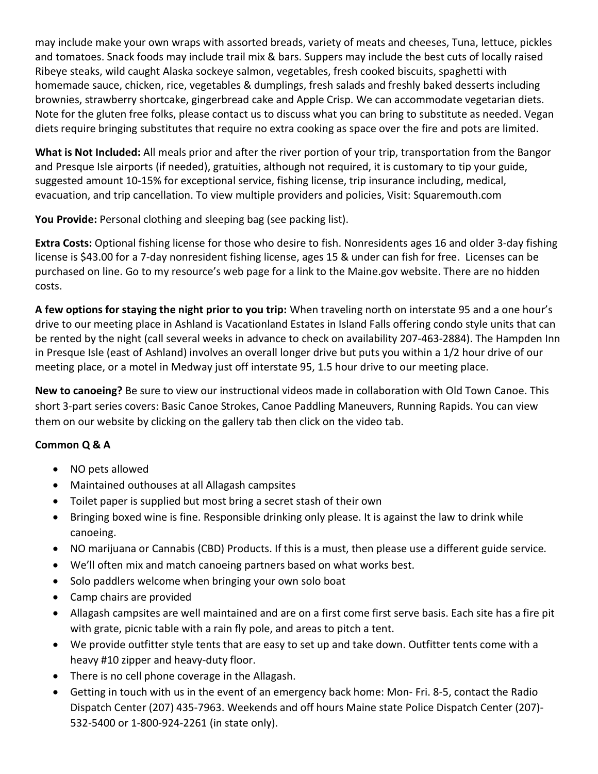may include make your own wraps with assorted breads, variety of meats and cheeses, Tuna, lettuce, pickles and tomatoes. Snack foods may include trail mix & bars. Suppers may include the best cuts of locally raised Ribeye steaks, wild caught Alaska sockeye salmon, vegetables, fresh cooked biscuits, spaghetti with homemade sauce, chicken, rice, vegetables & dumplings, fresh salads and freshly baked desserts including brownies, strawberry shortcake, gingerbread cake and Apple Crisp. We can accommodate vegetarian diets. Note for the gluten free folks, please contact us to discuss what you can bring to substitute as needed. Vegan diets require bringing substitutes that require no extra cooking as space over the fire and pots are limited.

What is Not Included: All meals prior and after the river portion of your trip, transportation from the Bangor and Presque Isle airports (if needed), gratuities, although not required, it is customary to tip your guide, suggested amount 10-15% for exceptional service, fishing license, trip insurance including, medical, evacuation, and trip cancellation. To view multiple providers and policies, Visit: Squaremouth.com

You Provide: Personal clothing and sleeping bag (see packing list).

Extra Costs: Optional fishing license for those who desire to fish. Nonresidents ages 16 and older 3-day fishing license is \$43.00 for a 7-day nonresident fishing license, ages 15 & under can fish for free. Licenses can be purchased on line. Go to my resource's web page for a link to the Maine.gov website. There are no hidden costs.

A few options for staying the night prior to you trip: When traveling north on interstate 95 and a one hour's drive to our meeting place in Ashland is Vacationland Estates in Island Falls offering condo style units that can be rented by the night (call several weeks in advance to check on availability 207-463-2884). The Hampden Inn in Presque Isle (east of Ashland) involves an overall longer drive but puts you within a 1/2 hour drive of our meeting place, or a motel in Medway just off interstate 95, 1.5 hour drive to our meeting place.

New to canoeing? Be sure to view our instructional videos made in collaboration with Old Town Canoe. This short 3-part series covers: Basic Canoe Strokes, Canoe Paddling Maneuvers, Running Rapids. You can view them on our website by clicking on the gallery tab then click on the video tab.

## Common Q & A

- NO pets allowed
- Maintained outhouses at all Allagash campsites
- Toilet paper is supplied but most bring a secret stash of their own
- Bringing boxed wine is fine. Responsible drinking only please. It is against the law to drink while canoeing.
- NO marijuana or Cannabis (CBD) Products. If this is a must, then please use a different guide service.
- We'll often mix and match canoeing partners based on what works best.
- Solo paddlers welcome when bringing your own solo boat
- Camp chairs are provided
- Allagash campsites are well maintained and are on a first come first serve basis. Each site has a fire pit with grate, picnic table with a rain fly pole, and areas to pitch a tent.
- We provide outfitter style tents that are easy to set up and take down. Outfitter tents come with a heavy #10 zipper and heavy-duty floor.
- There is no cell phone coverage in the Allagash.
- Getting in touch with us in the event of an emergency back home: Mon- Fri. 8-5, contact the Radio Dispatch Center (207) 435-7963. Weekends and off hours Maine state Police Dispatch Center (207)- 532-5400 or 1-800-924-2261 (in state only).